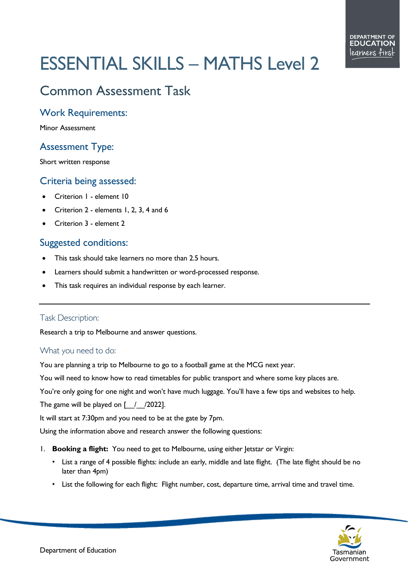# ESSENTIAL SKILLS – MATHS Level 2

# Common Assessment Task

#### Work Requirements:

Minor Assessment

## Assessment Type:

Short written response

### Criteria being assessed:

- Criterion 1 element 10
- Criterion 2 elements 1, 2, 3, 4 and 6
- Criterion 3 element 2

### Suggested conditions:

- This task should take learners no more than 2.5 hours.
- Learners should submit a handwritten or word-processed response.
- This task requires an individual response by each learner.

#### Task Description:

Research a trip to Melbourne and answer questions.

#### What you need to do:

You are planning a trip to Melbourne to go to a football game at the MCG next year.

You will need to know how to read timetables for public transport and where some key places are.

You're only going for one night and won't have much luggage. You'll have a few tips and websites to help.

The game will be played on  $\lceil$  / /2022].

It will start at 7:30pm and you need to be at the gate by 7pm.

Using the information above and research answer the following questions:

- 1. **Booking a flight:** You need to get to Melbourne, using either Jetstar or Virgin:
	- List a range of 4 possible flights: include an early, middle and late flight. (The late flight should be no later than 4pm)
	- List the following for each flight: Flight number, cost, departure time, arrival time and travel time.